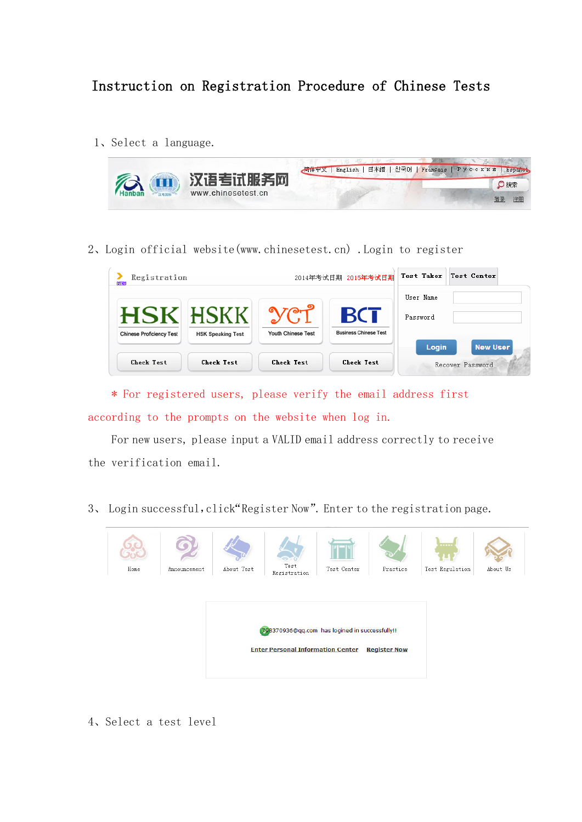## Instruction on Registration Procedure of Chinese Tests

1、Select a language.



2、Login official website(www.chinesetest.cn) .Login to register

| Registration<br>NEW             |                          |                    | 2014年考试日期 2015年考试日期                        | Test Taker<br>Test Center |                  |  |
|---------------------------------|--------------------------|--------------------|--------------------------------------------|---------------------------|------------------|--|
|                                 |                          |                    |                                            | User Name                 |                  |  |
| <b>Chinese Proficiency Test</b> | <b>HSK Speaking Test</b> | Youth Chinese Test | <b>BCT</b><br><b>Business Chinese Test</b> | Password                  |                  |  |
|                                 |                          |                    |                                            | Login                     | <b>New User</b>  |  |
| <b>Check Test</b>               | <b>Check Test</b>        | <b>Check Test</b>  | <b>Check Test</b>                          |                           | Recover Password |  |

\* For registered users, please verify the email address first according to the prompts on the website when log in.

For new users, please input a VALID email address correctly to receive the verification email.

3、 Login successful,click"[Register Now](http://kw.chinesetest.cn/goliuchengtu.do)". Enter to the registration page.



4、Select a test level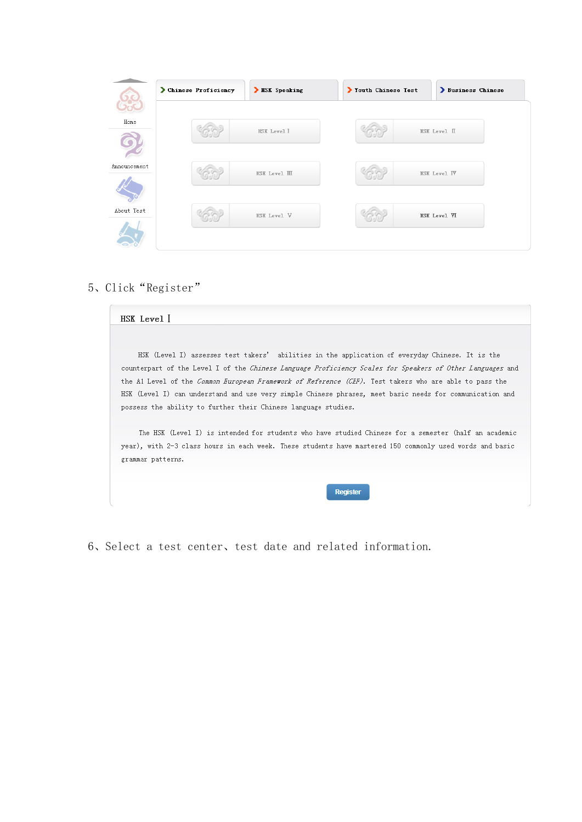|              | Chinese Proficiency | > HSK Speaking       | Youth Chinese Test | Business Chinese    |  |
|--------------|---------------------|----------------------|--------------------|---------------------|--|
| Home         |                     | <b>HSK</b> Level I   |                    | <b>HSK</b> Level II |  |
| Announcement |                     | <b>HSK</b> Level III |                    | <b>HSK Level IV</b> |  |
| About Test   |                     | <b>HSK Level V</b>   |                    | HSK Level VI        |  |

## 、Click"[Register](http://kw.chinesetest.cn/goliuchengtu.do)"

| HSK (Level I) assesses test takers' abilities in the application of everyday Chinese. It is the                |
|----------------------------------------------------------------------------------------------------------------|
| counterpart of the Level I of the Chinese Language Proficiency Scales for Speakers of Other Languages and      |
| the Al Level of the <i>Common European Framework of Reference (CEF)</i> . Test takers who are able to pass the |
| HSK (Level I) can understand and use very simple Chinese phrases, meet basic needs for communication and       |
| possess the ability to further their Chinese language studies.                                                 |
| The HSK (Level I) is intended for students who have studied Chinese for a semester (half an academic           |
| year), with 2-3 class hours in each week. These students have mastered 150 commonly used words and basic       |
| grammar patterns.                                                                                              |
|                                                                                                                |
| <b>Register</b>                                                                                                |

、Select a test center、test date and related information.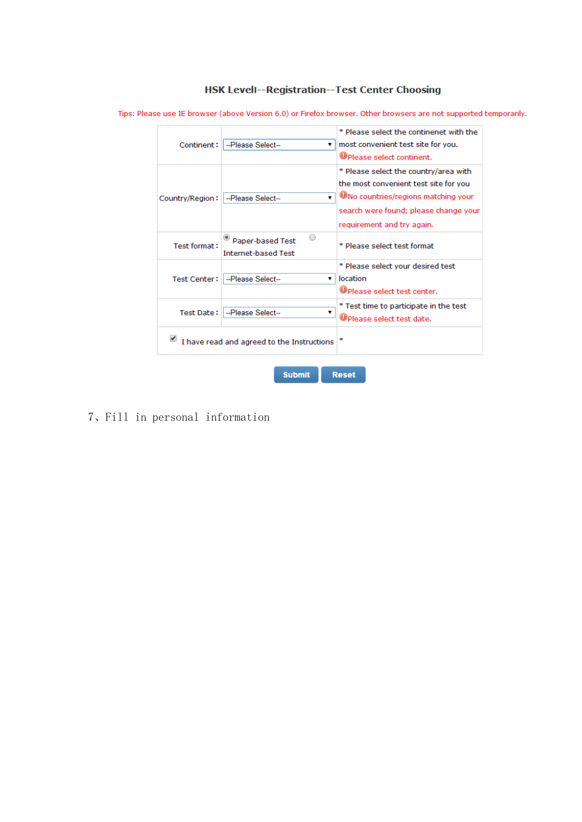## HSK Levell--Registration--Test Center Choosing

\* Please select the continenet with the Continent: -Please Select-- $\overline{\bullet}$  most convenient test site for you. **O** Please select continent. \* Please select the country/area with the most convenient test site for you  $\sqrt{\phantom{a}}$  ONo countries/regions matching your Country/Region: -Please Select-search were found; please change your requirement and try again.  $\textcolor{blue}{\bullet}$  Paper-based Test  $\circ$ Test format: \* Please select test format **Internet-based Test** \* Please select your desired test Test Center: - Please Select-- $\overline{\mathbf{v}}$  location **O** Please select test center. \* Test time to participate in the test Test Date: - Please Select-- $\blacktriangledown$ O Please select test date.  $\blacksquare$  I have read and agreed to the Instructions  $\vert \cdot \vert$ Reset **Submit** 

Tips: Please use IE browser (above Version 6.0) or Firefox browser. Other browsers are not supported temporarily.

7、Fill in personal information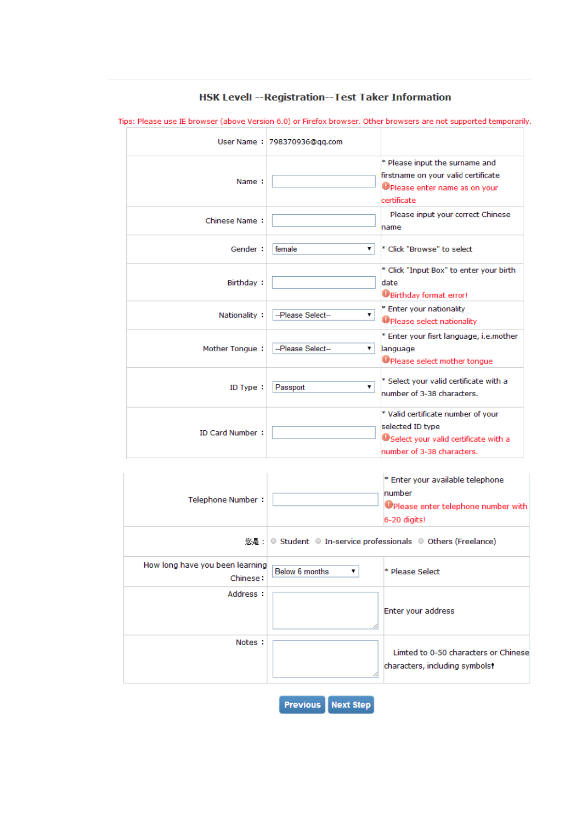|                        | User Name: 798370936@qq.com |                                                                                                                               |
|------------------------|-----------------------------|-------------------------------------------------------------------------------------------------------------------------------|
| Name:                  |                             | * Please input the surname and<br>firstname on your valid certificate<br><b>O</b> Please enter name as on your<br>certificate |
| <b>Chinese Name:</b>   |                             | Please input your correct Chinese<br>name                                                                                     |
| Gender:                | female<br>▼                 | * Click "Browse" to select                                                                                                    |
| Birthday:              |                             | * Click "Input Box" to enter your birth<br>date<br><b>WBirthday format error!</b>                                             |
| Nationality            | --Please Select--<br>▼.     | * Enter your nationality<br><b>OPlease select nationality</b>                                                                 |
| Mother Tongue:         | --Please Select--<br>▼      | * Enter your fisrt language, i.e.mother<br>language<br>Please select mother tongue                                            |
| ID Type:               | Passport<br>▼               | * Select your valid certificate with a<br>number of 3-38 characters.                                                          |
| <b>ID Card Number:</b> |                             | * Valid certificate number of your<br>selected ID type<br>USelect your valid certificate with a<br>number of 3-38 characters. |

HSK Levell -- Registration--Test Taker Information

Tips: Please use IE browser (above Version 6.0) or Firefox browser. Other browsers are not supported temporarily.

| Telephone Number:                           |                     | * Enter your available telephone<br>number<br>Please enter telephone number with<br>6-20 digits! |
|---------------------------------------------|---------------------|--------------------------------------------------------------------------------------------------|
|                                             |                     | 您是:   ○ Student ○ In-service professionals ○ Others (Freelance)                                  |
| How long have you been learning<br>Chinese: | Below 6 months<br>▼ | * Please Select                                                                                  |
| Address :                                   |                     | Enter your address                                                                               |
| Notes:                                      |                     | Limted to 0-50 characters or Chinese<br>characters, including symbols!                           |
|                                             |                     |                                                                                                  |

**Previous** Next Step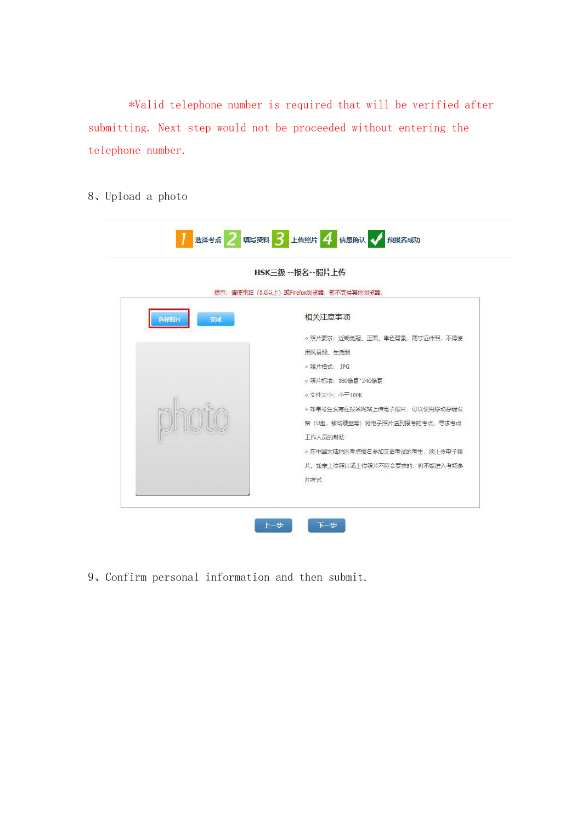\*Valid telephone number is required that will be verified after submitting. Next step would not be proceeded without entering the telephone number.

8、Upload a photo

|            | HSK三级 --报名--照片上传                          |
|------------|-------------------------------------------|
|            | 提示: 请使用IE (6.0以上) 或Firefox浏览器, 暂不支持其他浏览器。 |
| 选择照片<br>完成 | 相关注意事项                                    |
|            | ○昭片要求: 近期免冠、正面、单色背景、两寸证件照, 不得使            |
|            | 用风暴照、生活照                                  |
|            | o 昭片格式: JPG                               |
|            | ○ 照片标准: 180像素*240像素                       |
|            | ○ 文件大小: 小干100K                            |
| photo      | ○ 如果考生没有在报名网站上传电子照片, 可以使用移动存储设            |
|            | 备 (U盘, 移动硬盘等) 将电子照片送到报考的考点, 寻求考点          |
|            | 工作人员的帮助                                   |
|            | ○ 在中国大陆地区考点报名参加汉语考试的考生, 须上传电子照            |
|            | 片。如未上传照片或上传照片不符合要求的, 将不能进入考场参             |
|            | 加考试                                       |

9、Confirm personal information and then submit.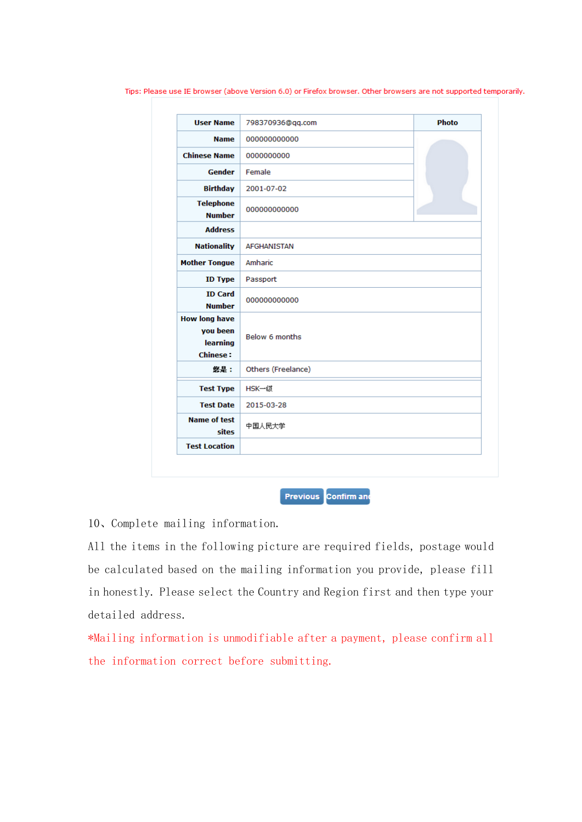| <b>User Name</b>                                                | 798370936@qq.com   | <b>Photo</b> |  |  |  |
|-----------------------------------------------------------------|--------------------|--------------|--|--|--|
| <b>Name</b>                                                     | 000000000000       |              |  |  |  |
| <b>Chinese Name</b>                                             | 0000000000         |              |  |  |  |
| <b>Gender</b>                                                   | Female             |              |  |  |  |
| <b>Birthday</b>                                                 | 2001-07-02         |              |  |  |  |
| <b>Telephone</b><br><b>Number</b>                               | 000000000000       |              |  |  |  |
| <b>Address</b>                                                  |                    |              |  |  |  |
| <b>Nationality</b>                                              | <b>AFGHANISTAN</b> |              |  |  |  |
| <b>Mother Tongue</b>                                            | Amharic            |              |  |  |  |
| <b>ID Type</b>                                                  | Passport           |              |  |  |  |
| <b>ID Card</b><br><b>Number</b>                                 | 000000000000       |              |  |  |  |
| <b>How long have</b><br>you been<br>learning<br><b>Chinese:</b> | Below 6 months     |              |  |  |  |
| 您是:                                                             | Others (Freelance) |              |  |  |  |
| <b>Test Type</b>                                                | HSK一级              |              |  |  |  |
| <b>Test Date</b>                                                | 2015-03-28         |              |  |  |  |
| <b>Name of test</b><br>sites                                    | 中国人民大学             |              |  |  |  |
| <b>Test Location</b>                                            |                    |              |  |  |  |

Tips: Please use IE browser (above Version 6.0) or Firefox browser. Other browsers are not supported temporarily.

Previous Confirm and

10、Complete mailing information.

All the items in the following picture are required fields, postage would be calculated based on the mailing information you provide, please fill in honestly. Please select the Country and Region first and then type your detailed address.

\*Mailing information is unmodifiable after a payment, please confirm all the information correct before submitting.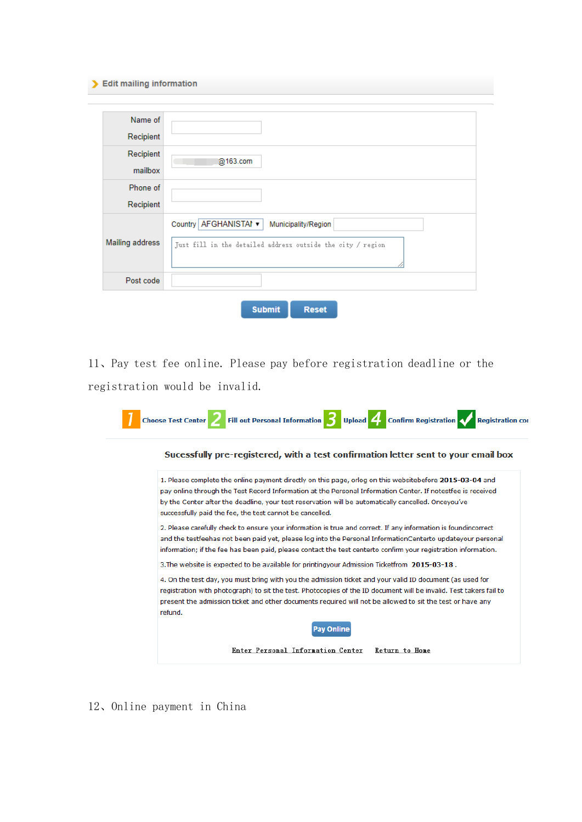## > Edit mailing information

| Name of         |                                                                                                             |
|-----------------|-------------------------------------------------------------------------------------------------------------|
| Recipient       |                                                                                                             |
| Recipient       |                                                                                                             |
| mailbox         | @163.com                                                                                                    |
| Phone of        |                                                                                                             |
| Recipient       |                                                                                                             |
| Mailing address | Country AFGHANISTAI v<br>Municipality/Region<br>Just fill in the detailed address outside the city / region |
| Post code       |                                                                                                             |
|                 | <b>Submit</b><br><b>Reset</b>                                                                               |

11、Pay test fee online. Please pay before registration deadline or the registration would be invalid.

|         | Sucessfully pre-registered, with a test confirmation letter sent to your email box                                                                                                                                                                                                                                                                                                        |
|---------|-------------------------------------------------------------------------------------------------------------------------------------------------------------------------------------------------------------------------------------------------------------------------------------------------------------------------------------------------------------------------------------------|
|         | 1. Please complete the online payment directly on this page, orlog on this websitebefore 2015-03-04 and<br>pay online through the Test Record Information at the Personal Information Center. If notestfee is received<br>by the Center after the deadline, your test reservation will be automatically cancelled. Onceyou've<br>successfully paid the fee, the test cannot be cancelled. |
|         | 2. Please carefully check to ensure your information is true and correct. If any information is foundincorrect<br>and the testfeehas not been paid yet, please log into the Personal InformationCenterto updateyour personal<br>information; if the fee has been paid, please contact the test centerto confirm your registration information.                                            |
|         | 3. The website is expected to be available for printingyour Admission Ticketfrom 2015-03-18.                                                                                                                                                                                                                                                                                              |
| refund. | 4. On the test day, you must bring with you the admission ticket and your valid ID document (as used for<br>registration with photograph) to sit the test. Photocopies of the ID document will be invalid. Test takers fail to<br>present the admission ticket and other documents required will not be allowed to sit the test or have any                                               |
|         | <b>Pav Online</b>                                                                                                                                                                                                                                                                                                                                                                         |

12、Online payment in China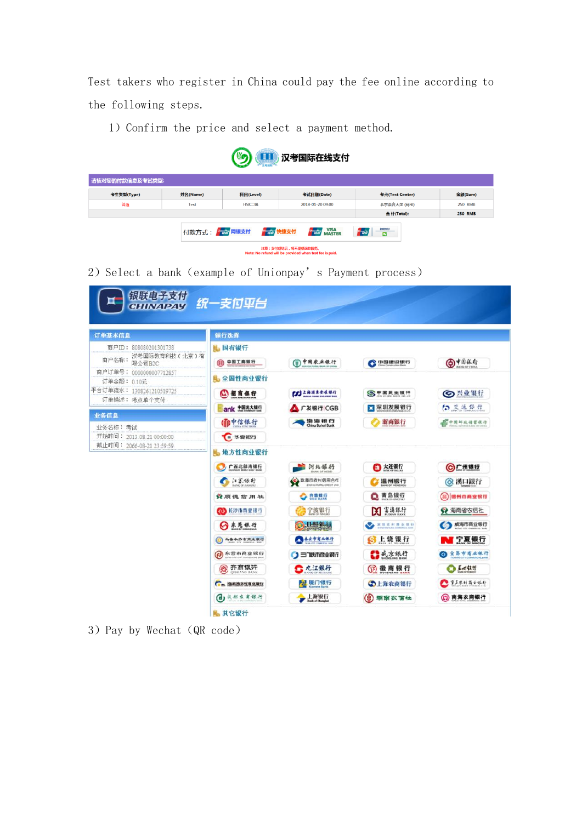Test takers who register in China could pay the fee online according to the following steps.

1) Confirm the price and select a payment method.



2) Select a bank (example of Unionpay's Payment process)

| 银联电子支付                                                    |                                                         |                                                          |                                   |                             |
|-----------------------------------------------------------|---------------------------------------------------------|----------------------------------------------------------|-----------------------------------|-----------------------------|
| <b>CHINAPAY</b>                                           | 统一支付平台                                                  |                                                          |                                   |                             |
| 订单基本信息                                                    | 银行选择                                                    |                                                          |                                   |                             |
| 商户ID: 808080201301738<br>汉考国际教育科技(北京)有<br>商户名称:<br>限公司B2C | 具 国有银行<br>中国工商银行<br>$\circ$                             | (1) 中国农业银行                                               | <b>ODBERRIT</b>                   | <b>◎ ★鳥落行</b>               |
| 商户订单号: 0000000007712857<br>订单金额: 0.10元                    | <b>是 全国性商业银行</b>                                        |                                                          |                                   |                             |
| 平台订单流水: 1308261210519725<br>订单描述: 考点单个支付                  | (4) 招商银行<br>ank 中国光大银行                                  | <b>COLARANE</b><br>广发银行ICGB                              | SP国民生奴坪<br>■深圳发展银行                | ◎兴业银行<br>白交通銀行              |
| 业务信息<br>业务名称:考试<br>开始时间: 2013-08-21 00:00:00              | 偏中信银行<br>● 华貌银行                                         | 350 365 EEE FS                                           | 浙商银行                              | <b>E</b> PRUNHERA           |
| 截止时间: 2066-08-21 23:59:59                                 | 地方性商业银行                                                 |                                                          |                                   |                             |
|                                                           | 广西北部湾银行<br>5.5.4.1                                      | 河北镇行<br>◎ 珠海市农村信用合作<br><b><i>DANAURAL CREDIT UNK</i></b> | □ 大连银行<br>温州银行                    | ◎广州银行<br> ◎ 漢口銀行            |
|                                                           | 資源德信用社                                                  | 赛费跟短                                                     | Q 青岛银行                            | 德州市商业银行                     |
|                                                           | @ 长沙市商业银行<br>◎东莞银行                                      | 宁波银行                                                     | <b>DE TARF</b><br><b>CARAHAMH</b> | ◆ 海南省农信社                    |
|                                                           | 乌鲁木齐市商业银行                                               | <b>D.H.K.U</b><br>AATAARD                                | <b>S</b> 上饶银行                     | 3 威海市商业银行<br>NT 宁夏银行        |
|                                                           | <b>图东营市商业银行</b>                                         | 三门映示商业银行                                                 | 【】或京銀行                            | ◎ 宜易市商业银行                   |
|                                                           | (商) 齐商银汗<br><b>OISHANG BANK</b><br><b>【+m 医电热安性寿业银行</b> | <u>●九江银行</u><br>2 厦门银行                                   | (?) 徽商银行<br>◎上海农商银行               | $O$ $M$ $11$ if<br>重点求材商业吸行 |
|                                                           | (d) 成都农商银行                                              | 上海银行                                                     | (4)<br>湖南农信社                      | (2) 南海农商银行                  |
|                                                           | <b>L</b> 其它银行                                           |                                                          |                                   |                             |

3) Pay by Wechat (QR code)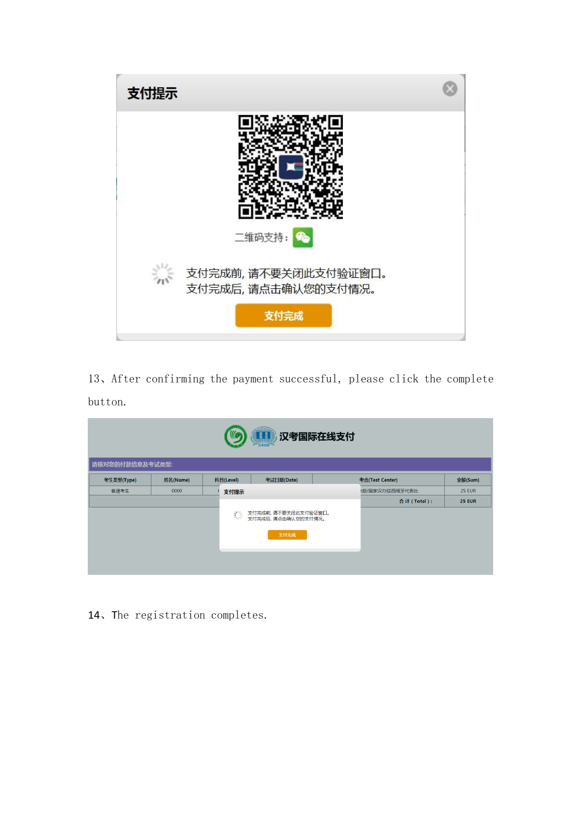

、After confirming the payment successful, please click the complete button.

| 汉考国际在线支付<br><b>III</b><br>汉考国际 |          |  |           |                                                    |  |                 |               |
|--------------------------------|----------|--|-----------|----------------------------------------------------|--|-----------------|---------------|
| 请核对您的付款信息及考试类型:                |          |  |           |                                                    |  |                 |               |
| 考生类型(Type)                     | 姓名(Name) |  | 科目(Level) | 考试日期(Date)                                         |  | 考点(Test Center) | 金额(Sum)       |
| 普通考生                           | 0000     |  | 支付提示      |                                                    |  | 将/国家汉办驻西班牙代表处   | <b>25 EUR</b> |
|                                |          |  |           |                                                    |  | 合计(Total):      | <b>25 EUR</b> |
|                                |          |  | 禁         | 支付完成前, 请不要关闭此支付验证窗口。<br>支付完成后,请点击确认您的支付情况。<br>支付完成 |  |                 |               |
|                                |          |  |           |                                                    |  |                 |               |

、The registration completes.